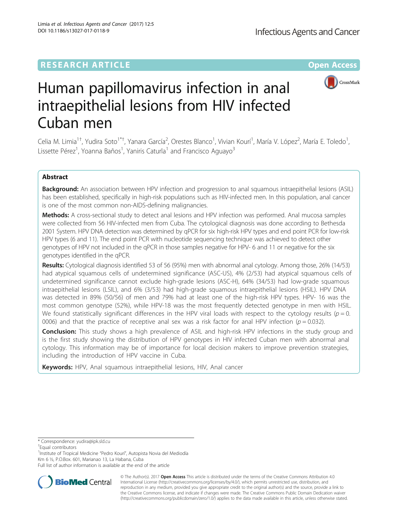# **RESEARCH ARTICLE External Structure Community Community Community Community Community Community Community Community**



# Human papillomavirus infection in anal intraepithelial lesions from HIV infected Cuban men

Celia M. Limia<sup>1†</sup>, Yudira Soto<sup>1\*†</sup>, Yanara García<sup>2</sup>, Orestes Blanco<sup>1</sup>, Vivian Kourí<sup>1</sup>, María V. López<sup>2</sup>, María E. Toledo<sup>1</sup> , Lissette Pérez<sup>1</sup>, Yoanna Baños<sup>1</sup>, Yaniris Caturla<sup>1</sup> and Francisco Aguayo<sup>3</sup>

# Abstract

Background: An association between HPV infection and progression to anal squamous intraepithelial lesions (ASIL) has been established, specifically in high-risk populations such as HIV-infected men. In this population, anal cancer is one of the most common non-AIDS-defining malignancies.

Methods: A cross-sectional study to detect anal lesions and HPV infection was performed. Anal mucosa samples were collected from 56 HIV-infected men from Cuba. The cytological diagnosis was done according to Bethesda 2001 System. HPV DNA detection was determined by qPCR for six high-risk HPV types and end point PCR for low-risk HPV types (6 and 11). The end point PCR with nucleotide sequencing technique was achieved to detect other genotypes of HPV not included in the qPCR in those samples negative for HPV- 6 and 11 or negative for the six genotypes identified in the qPCR.

Results: Cytological diagnosis identified 53 of 56 (95%) men with abnormal anal cytology. Among those, 26% (14/53) had atypical squamous cells of undetermined significance (ASC-US), 4% (2/53) had atypical squamous cells of undetermined significance cannot exclude high-grade lesions (ASC-H), 64% (34/53) had low-grade squamous intraepithelial lesions (LSIL), and 6% (3/53) had high-grade squamous intraepithelial lesions (HSIL). HPV DNA was detected in 89% (50/56) of men and 79% had at least one of the high-risk HPV types. HPV- 16 was the most common genotype (52%), while HPV-18 was the most frequently detected genotype in men with HSIL. We found statistically significant differences in the HPV viral loads with respect to the cytology results ( $p = 0$ . 0006) and that the practice of receptive anal sex was a risk factor for anal HPV infection ( $p = 0.032$ ).

**Conclusion:** This study shows a high prevalence of ASIL and high-risk HPV infections in the study group and is the first study showing the distribution of HPV genotypes in HIV infected Cuban men with abnormal anal cytology. This information may be of importance for local decision makers to improve prevention strategies, including the introduction of HPV vaccine in Cuba.

Keywords: HPV, Anal squamous intraepithelial lesions, HIV, Anal cancer

\* Correspondence: [yudira@ipk.sld.cu](mailto:yudira@ipk.sld.cu) †

<sup>+</sup>Equal contributors

<sup>1</sup>Institute of Tropical Medicine "Pedro Kourí", Autopista Novia del Mediodía Km 6 ½, P.O.Box. 601, Marianao 13, La Habana, Cuba

Full list of author information is available at the end of the article



© The Author(s). 2017 **Open Access** This article is distributed under the terms of the Creative Commons Attribution 4.0 International License [\(http://creativecommons.org/licenses/by/4.0/](http://creativecommons.org/licenses/by/4.0/)), which permits unrestricted use, distribution, and reproduction in any medium, provided you give appropriate credit to the original author(s) and the source, provide a link to the Creative Commons license, and indicate if changes were made. The Creative Commons Public Domain Dedication waiver [\(http://creativecommons.org/publicdomain/zero/1.0/](http://creativecommons.org/publicdomain/zero/1.0/)) applies to the data made available in this article, unless otherwise stated.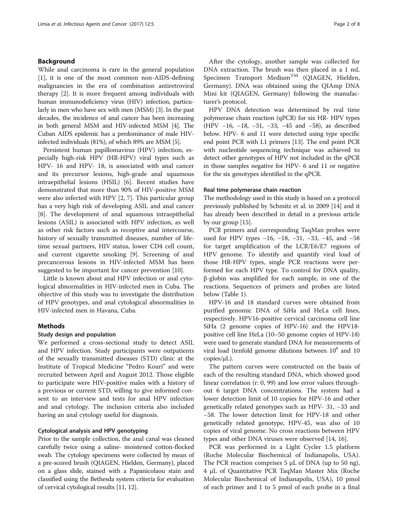# Background

While anal carcinoma is rare in the general population [[1\]](#page-7-0), it is one of the most common non-AIDS-defining malignancies in the era of combination antiretroviral therapy [\[2](#page-7-0)]. It is more frequent among individuals with human immunodeficiency virus (HIV) infection, particularly in men who have sex with men (MSM) [\[3\]](#page-7-0). In the past decades, the incidence of anal cancer has been increasing in both general MSM and HIV-infected MSM [\[4\]](#page-7-0). The Cuban AIDS epidemic has a predominance of male HIVinfected individuals (81%), of which 89% are MSM [\[5\]](#page-7-0).

Persistent human papillomavirus (HPV) infection, especially high-risk HPV (HR-HPV) viral types such as HPV- 16 and HPV- 18, is associated with anal cancer and its precursor lesions, high-grade anal squamous intraepithelial lesions (HSIL) [[6](#page-7-0)]. Recent studies have demonstrated that more than 90% of HIV-positive MSM were also infected with HPV [\[2, 7\]](#page-7-0). This particular group has a very high risk of developing ASIL and anal cancer [[8\]](#page-7-0). The development of anal squamous intraepithelial lesions (ASIL) is associated with HPV infection, as well as other risk factors such as receptive anal intercourse, history of sexually transmitted diseases, number of lifetime sexual partners, HIV status, lower CD4 cell count, and current cigarette smoking [[9\]](#page-7-0). Screening of anal precancerous lesions in HIV-infected MSM has been suggested to be important for cancer prevention [[10\]](#page-7-0).

Little is known about anal HPV infection or anal cytological abnormalities in HIV-infected men in Cuba. The objective of this study was to investigate the distribution of HPV genotypes, and anal cytological abnormalities in HIV-infected men in Havana, Cuba.

# Methods

## Study design and population

We performed a cross-sectional study to detect ASIL and HPV infection. Study participants were outpatients of the sexually transmitted diseases (STD) clinic at the Institute of Tropical Medicine "Pedro Kourí" and were recruited between April and August 2012. Those eligible to participate were HIV-positive males with a history of a previous or current STD, willing to give informed consent to an interview and tests for anal HPV infection and anal cytology. The inclusion criteria also included having an anal cytology useful for diagnosis.

# Cytological analysis and HPV genotyping

Prior to the sample collection, the anal canal was cleaned carefully twice using a saline- moistened cotton-flocked swab. The cytology specimens were collected by mean of a pre-scored brush (QIAGEN, Hielden, Germany), placed on a glass slide, stained with a Papanicolaou stain and classified using the Bethesda system criteria for evaluation of cervical cytological results [\[11, 12](#page-7-0)].

After the cytology, another sample was collected for DNA extraction. The brush was then placed in a 1 mL Specimen Transport Medium<sup>TM</sup> (QIAGEN, Hielden, Germany). DNA was obtained using the QIAmp DNA Mini kit (QIAGEN, Germany) following the manufacturer's protocol.

HPV DNA detection was determined by real time polymerase chain reaction (qPCR) for six HR- HPV types (HPV −16, −18, −31, −33, −45 and −58), as described below. HPV- 6 and 11 were detected using type specific end point PCR with L1 primers [[13](#page-7-0)]. The end point PCR with nucleotide sequencing technique was achieved to detect other genotypes of HPV not included in the qPCR in those samples negative for HPV- 6 and 11 or negative for the six genotypes identified in the qPCR.

### Real time polymerase chain reaction

The methodology used in this study is based on a protocol previously published by Schmitz et al. in 2009 [[14](#page-7-0)] and it has already been described in detail in a previous article by our group [\[15](#page-7-0)].

PCR primers and corresponding TaqMan probes were used for HPV types −16, −18, −31, −33, −45, and −58 for target amplification of the LCR/E6/E7 regions of HPV genome. To identify and quantify viral load of those HR-HPV types, single PCR reactions were performed for each HPV type. To control for DNA quality, β-globin was amplified for each sample, in one of the reactions. Sequences of primers and probes are listed below (Table [1\)](#page-2-0).

HPV-16 and 18 standard curves were obtained from purified genomic DNA of SiHa and HeLa cell lines, respectively. HPV16-positive cervical carcinoma cell line SiHa (2 genome copies of HPV-16) and the HPV18 positive cell line HeLa (10–50 genome copies of HPV-18) were used to generate standard DNA for measurements of viral load (tenfold genome dilutions between  $10<sup>6</sup>$  and  $10$ copies/μL).

The pattern curves were constructed on the basis of each of the resulting standard DNA, which showed good linear correlation (r: 0, 99) and low error values throughout 6 target DNA concentrations. The system had a lower detection limit of 10 copies for HPV-16 and other genetically related genotypes such as HPV- 31, −33 and −58. The lower detection limit for HPV-18 and other genetically related genotype, HPV-45, was also of 10 copies of viral genome. No cross reactions between HPV types and other DNA viruses were observed [\[14, 16\]](#page-7-0).

PCR was performed in a Light Cycler 1.5 platform (Roche Molecular Biochemical of Indianapolis, USA). The PCR reaction comprises 5 μL of DNA (up to 50 ng), 4 μL of Quantitative PCR TaqMan Master Mix (Roche Molecular Biochemical of Indianapolis, USA), 10 pmol of each primer and 1 to 5 pmol of each probe in a final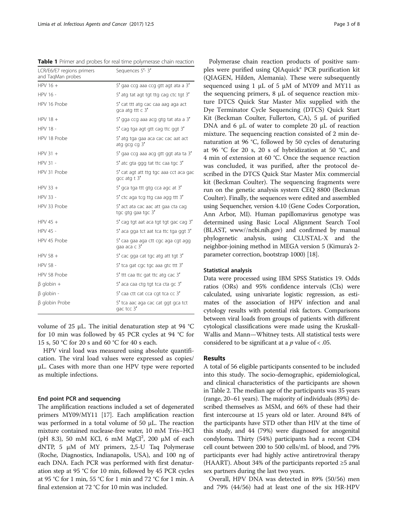<span id="page-2-0"></span>Table 1 Primer and probes for real time polymerase chain reaction

| LCR/E6/E7 regions primers<br>and TagMan probes | Sequences 5'-3'                                                 |
|------------------------------------------------|-----------------------------------------------------------------|
| $HPV16 +$                                      | 5' gaa ccg aaa ccg gtt agt ata a 3'                             |
| HPV 16 -                                       | 5' atg tat agt tgt ttg cag ctc tgt 3'                           |
| HPV 16 Probe                                   | 5' cat ttt atg cac caa aag aga act<br>gca atg ttt $\epsilon$ 3' |
| HPV $18 +$                                     | 5' gga ccg aaa acg gtg tat ata a 3'                             |
| <b>HPV 18 -</b>                                | 5' cag tga agt gtt cag ttc ggt 3'                               |
| HPV 18 Probe                                   | 5' atg tga gaa aca cac cac aat act<br>atg gcg cg $3'$           |
| HPV $31 +$                                     | 5' gaa ccg aaa acg gtt ggt ata ta 3'                            |
| HPV 31 -                                       | 5' atc gta ggg tat ttc caa tgc 3'                               |
| HPV 31 Probe                                   | 5' cat agt att ttg tgc aaa cct aca gac<br>$qcc$ atg t $3'$      |
| HPV $33 +$                                     | 5' gca tga ttt gtg cca agc at 3'                                |
| HPV 33 -                                       | 5' ctc aga tcg ttg caa agg ttt 3'                               |
| HPV 33 Probe                                   | 5' act ata cac aac att gaa cta cag<br>tgc gtg gaa tgc 3'        |
| HPV 45 $+$                                     | 5' cag tgt aat aca tgt tgt gac cag 3'                           |
| HPV 45 -                                       | 5' aca gga tct aat tca ttc tga ggt 3'                           |
| HPV 45 Probe                                   | 5' caa gaa aga ctt cgc aga cgt agg<br>qaa aca c 3'              |
| HPV 58 $+$                                     | 5' cac gga cat tgc atg att tgt 3'                               |
| <b>HPV 58 -</b>                                | 5' tca gat cgc tgc aaa gtc ttt 3'                               |
| HPV 58 Probe                                   | 5' ttt caa ttc gat ttc atg cac 3'                               |
| $\beta$ globin +                               | 5' aca caa ctg tgt tca cta gc 3'                                |
| $\beta$ globin -                               | 5' caa ctt cat cca cqt tca cc 3'                                |
| $\beta$ globin Probe                           | 5' tca aac aga cac cat ggt gca tct<br>gac tcc 3'                |

volume of 25 μL. The initial denaturation step at 94 °C for 10 min was followed by 45 PCR cycles at 94 °C for 15 s, 50 °C for 20 s and 60 °C for 40 s each.

HPV viral load was measured using absolute quantification. The viral load values were expressed as copies/ μL. Cases with more than one HPV type were reported as multiple infections.

# End point PCR and sequencing

The amplification reactions included a set of degenerated primers MY09/MY11 [[17](#page-7-0)]. Each amplification reaction was performed in a total volume of 50 μL. The reaction mixture contained nuclease-free water, 10 mM Tris–HCl (pH 8.3), 50 mM KCl, 6 mM MgCl<sup>2</sup>, 200  $\mu$ M of each dNTP, 5 μM of MY primers, 2,5-U Taq Polymerase (Roche, Diagnostics, Indianapolis, USA), and 100 ng of each DNA. Each PCR was performed with first denaturation step at 95 °C for 10 min, followed by 45 PCR cycles at 95 °C for 1 min, 55 °C for 1 min and 72 °C for 1 min. A final extension at 72 °C for 10 min was included.

Polymerase chain reaction products of positive samples were purified using QIAquick® PCR purification kit (QIAGEN, Hilden, Alemania). These were subsequently sequenced using 1 μL of 5 μM of MY09 and MY11 as the sequencing primers, 8 μL of sequence reaction mixture DTCS Quick Star Master Mix supplied with the Dye Terminator Cycle Sequencing (DTCS) Quick Start Kit (Beckman Coulter, Fullerton, CA), 5 μL of purified DNA and 6 μL of water to complete 20 μL of reaction mixture. The sequencing reaction consisted of 2 min denaturation at 96 °C, followed by 50 cycles of denaturing at 96 °C for 20 s, 20 s of hybridization at 50 °C, and 4 min of extension at 60 °C. Once the sequence reaction was concluded, it was purified, after the protocol described in the DTCS Quick Star Master Mix commercial kit (Beckman Coulter). The sequencing fragments were run on the genetic analysis system CEQ 8800 (Beckman Coulter). Finally, the sequences were edited and assembled using Sequencher, version 4.10 (Gene Codes Corporation, Ann Arbor, MI). Human papillomavirus genotype was determined using Basic Local Alignment Search Tool (BLAST, www//ncbi.nih.gov) and confirmed by manual phylogenetic analysis, using CLUSTAL-X and the neighbor-joining method in MEGA version 5 (Kimura's 2 parameter correction, bootstrap 1000) [[18](#page-7-0)].

# Statistical analysis

Data were processed using IBM SPSS Statistics 19. Odds ratios (ORs) and 95% confidence intervals (CIs) were calculated, using univariate logistic regression, as estimates of the association of HPV infection and anal cytology results with potential risk factors. Comparisons between viral loads from groups of patients with different cytological classifications were made using the Kruskall-Wallis and Mann—Whitney tests. All statistical tests were considered to be significant at a  $p$  value of < .05.

# Results

A total of 56 eligible participants consented to be included into this study. The socio-demographic, epidemiological, and clinical characteristics of the participants are shown in Table [2.](#page-3-0) The median age of the participants was 35 years (range, 20–61 years). The majority of individuals (89%) described themselves as MSM, and 66% of these had their first intercourse at 15 years old or later. Around 84% of the participants have STD other than HIV at the time of this study, and 44 (79%) were diagnosed for anogenital condyloma. Thirty (54%) participants had a recent CD4 cell count between 200 to 500 cells/mL of blood, and 79% participants ever had highly active antiretroviral therapy (HAART). About 34% of the participants reported  $\geq 5$  anal sex partners during the last two years.

Overall, HPV DNA was detected in 89% (50/56) men and 79% (44/56) had at least one of the six HR-HPV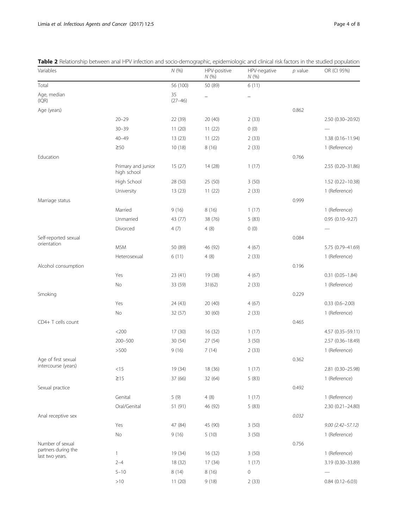| Variables                                                  |                                   | N(%)              | HPV-positive<br>N(%) | HPV-negative<br>N(%)     | $p$ value | OR (CI 95%)          |
|------------------------------------------------------------|-----------------------------------|-------------------|----------------------|--------------------------|-----------|----------------------|
| Total                                                      |                                   | 56 (100)          | 50 (89)              | 6(11)                    |           |                      |
| Age, median<br>(IQR)                                       |                                   | 35<br>$(27 - 46)$ | -                    | $\overline{\phantom{0}}$ |           |                      |
| Age (years)                                                |                                   |                   |                      |                          | 0.862     |                      |
|                                                            | $20 - 29$                         | 22 (39)           | 20(40)               | 2(33)                    |           | 2.50 (0.30-20.92)    |
|                                                            | $30 - 39$                         | 11(20)            | 11(22)               | 0(0)                     |           |                      |
|                                                            | $40 - 49$                         | 13 (23)           | 11(22)               | 2(33)                    |           | 1.38 (0.16-11.94)    |
|                                                            | $\geq 50$                         | 10(18)            | 8(16)                | 2(33)                    |           | 1 (Reference)        |
| Education                                                  |                                   |                   |                      |                          | 0.766     |                      |
|                                                            | Primary and junior<br>high school | 15(27)            | 14 (28)              | 1(17)                    |           | 2.55 (0.20-31.86)    |
|                                                            | High School                       | 28 (50)           | 25 (50)              | 3(50)                    |           | 1.52 (0.22-10.38)    |
|                                                            | University                        | 13(23)            | 11(22)               | 2(33)                    |           | 1 (Reference)        |
| Marriage status                                            |                                   |                   |                      |                          | 0.999     |                      |
|                                                            | Married                           | 9(16)             | 8(16)                | 1(17)                    |           | 1 (Reference)        |
|                                                            | Unmarried                         | 43 (77)           | 38 (76)              | 5(83)                    |           | $0.95(0.10 - 9.27)$  |
|                                                            | Divorced                          | 4(7)              | 4(8)                 | 0(0)                     |           |                      |
| Self-reported sexual                                       |                                   |                   |                      |                          | 0.084     |                      |
| orientation                                                | <b>MSM</b>                        | 50 (89)           | 46 (92)              | 4(67)                    |           | 5.75 (0.79-41.69)    |
|                                                            | Heterosexual                      | 6(11)             | 4(8)                 | 2(33)                    |           | 1 (Reference)        |
| Alcohol consumption                                        |                                   |                   |                      |                          | 0.196     |                      |
|                                                            | Yes                               | 23(41)            | 19 (38)              | 4(67)                    |           | $0.31(0.05 - 1.84)$  |
|                                                            | No                                | 33 (59)           | 31(62)               | 2(33)                    |           | 1 (Reference)        |
| Smoking                                                    |                                   |                   |                      |                          | 0.229     |                      |
|                                                            | Yes                               | 24 (43)           | 20 (40)              | 4(67)                    |           | $0.33(0.6 - 2.00)$   |
|                                                            | <b>No</b>                         | 32 (57)           | 30 (60)              | 2(33)                    |           | 1 (Reference)        |
| CD4+ T cells count                                         |                                   |                   |                      |                          | 0.465     |                      |
|                                                            | $<$ 200                           | 17 (30)           | 16(32)               | 1(17)                    |           | 4.57 (0.35-59.11)    |
|                                                            | 200-500                           | 30 (54)           | 27 (54)              | 3(50)                    |           | 2.57 (0.36-18.49)    |
|                                                            | >500                              | 9(16)             | 7(14)                | 2(33)                    |           | 1 (Reference)        |
| Age of first sexual                                        |                                   |                   |                      |                          | 0.362     |                      |
| intercourse (years)                                        | $<$ 15                            | 19 (34)           | 18 (36)              | 1(17)                    |           | 2.81 (0.30-25.98)    |
|                                                            | $\geq$ 15                         | 37 (66)           | 32 (64)              | 5(83)                    |           | 1 (Reference)        |
| Sexual practice                                            |                                   |                   |                      |                          | 0.492     |                      |
|                                                            | Genital                           | 5(9)              | 4(8)                 | 1(17)                    |           | 1 (Reference)        |
|                                                            | Oral/Genital                      | 51 (91)           | 46 (92)              | 5(83)                    |           | 2.30 (0.21-24.80)    |
| Anal receptive sex                                         |                                   |                   |                      |                          | 0.032     |                      |
|                                                            | Yes                               | 47 (84)           | 45 (90)              | 3(50)                    |           | $9.00(2.42 - 57.12)$ |
|                                                            | No                                | 9(16)             | 5(10)                | 3(50)                    |           | 1 (Reference)        |
| Number of sexual<br>partners during the<br>last two years. |                                   |                   |                      |                          | 0.756     |                      |
|                                                            | $\mathbf{1}$                      | 19 (34)           | 16 (32)              | 3(50)                    |           | 1 (Reference)        |
|                                                            | $2 - 4$                           | 18 (32)           | 17(34)               | 1(17)                    |           | 3.19 (0.30-33.89)    |
|                                                            | $5 - 10$                          | 8(14)             | 8(16)                | 0                        |           |                      |
|                                                            | >10                               | 11(20)            | 9(18)                | 2(33)                    |           | $0.84(0.12 - 6.03)$  |

<span id="page-3-0"></span>Table 2 Relationship between anal HPV infection and socio-demographic, epidemiologic and clinical risk factors in the studied population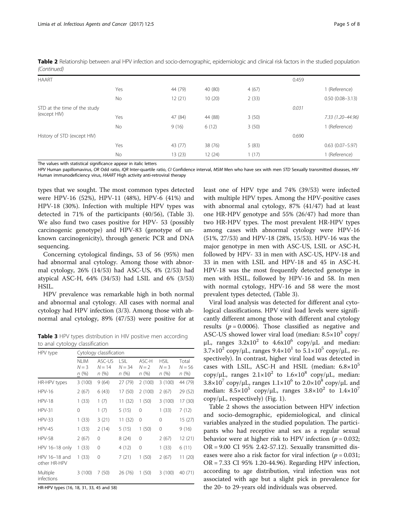| <b>HAART</b>                 |           |         |         |       | 0.459 |                     |
|------------------------------|-----------|---------|---------|-------|-------|---------------------|
|                              | Yes       | 44 (79) | 40 (80) | 4(67) |       | 1 (Reference)       |
|                              | <b>No</b> | 12(21)  | 10(20)  | 2(33) |       | $0.50(0.08 - 3.13)$ |
| STD at the time of the study |           |         |         |       | 0.031 |                     |
| (except HIV)                 | Yes       | 47 (84) | 44 (88) | 3(50) |       | 7.33 (1.20-44.96)   |
|                              | <b>No</b> | 9(16)   | 6(12)   | 3(50) |       | 1 (Reference)       |
| History of STD (except HIV)  |           |         |         |       | 0.690 |                     |
|                              | Yes       | 43 (77) | 38 (76) | 5(83) |       | $0.63$ (0.07-5.97)  |
|                              | <b>No</b> | 13(23)  | 12 (24) | 1(17) |       | 1 (Reference)       |

Table 2 Relationship between anal HPV infection and socio-demographic, epidemiologic and clinical risk factors in the studied population (Continued)

The values with statistical significance appear in italic letters

HPV Human papillomavirus, OR Odd ratio, IQR Inter-quartile ratio, CI Confidence interval, MSM Men who have sex with men STD Sexually transmitted diseases, HIV Human immunodeficiency virus, HAART High activity anti-retroviral therapy

types that we sought. The most common types detected were HPV-16 (52%), HPV-11 (48%), HPV-6 (41%) and HPV-18 (30%). Infection with multiple HPV types was detected in 71% of the participants (40/56), (Table 3). We also fund two cases positive for HPV- 53 (possibly carcinogenic genotype) and HPV-83 (genotype of unknown carcinogenicity), through generic PCR and DNA sequencing.

Concerning cytological findings, 53 of 56 (95%) men had abnormal anal cytology. Among those with abnormal cytology, 26% (14/53) had ASC-US, 4% (2/53) had atypical ASC-H, 64% (34/53) had LSIL and 6% (3/53) HSIL.

HPV prevalence was remarkable high in both normal and abnormal anal cytology. All cases with normal anal cytology had HPV infection (3/3). Among those with abnormal anal cytology, 89% (47/53) were positive for at

Table 3 HPV types distribution in HIV positive men according to anal cytology classification

| HPV type                      | Cytology classification        |                            |                          |                           |                                 |                           |  |
|-------------------------------|--------------------------------|----------------------------|--------------------------|---------------------------|---------------------------------|---------------------------|--|
|                               | <b>NLIM</b><br>$N = 3$<br>n(%) | ASC-US<br>$N = 14$<br>n(%) | LSIL<br>$N = 34$<br>n(%) | ASC-H<br>$N = 2$<br>n (%) | <b>HSIL</b><br>$N = 3$<br>n (%) | Total<br>$N = 56$<br>n(%) |  |
| HR-HPV types                  | 3(100)                         | 9(64)                      | 27 (79)                  | 2(100)                    | 3(100)                          | 44 (79)                   |  |
| $HPV-16$                      | 2(67)                          | 6(43)                      | 17 (50)                  | 2(100)                    | 2(67)                           | 29 (52)                   |  |
| <b>HPV-18</b>                 | 1(33)                          | 1(7)                       | 11 (32)                  | 1(50)                     | 3(100)                          | 17 (30)                   |  |
| $HPV-31$                      | 0                              | 1(7)                       | 5(15)                    | 0                         | 1(33)                           | 7(12)                     |  |
| <b>HPV-33</b>                 | 1(33)                          | 3(21)                      | 11(32)                   | 0                         | $\Omega$                        | 15 (27)                   |  |
| <b>HPV-45</b>                 | 1(33)                          | 2(14)                      | 5(15)                    | 1(50)                     | 0                               | 9(16)                     |  |
| <b>HPV-58</b>                 | 2(67)                          | 0                          | 8(24)                    | 0                         | 2(67)                           | 12 (21)                   |  |
| HPV 16-18 only                | 1(33)                          | 0                          | 4 (12)                   | 0                         | 1(33)                           | 6(11)                     |  |
| HPV 16-18 and<br>other HR-HPV | 1(33)                          | 0                          | 7(21)                    | 1(50)                     | 2(67)                           | 11 (20)                   |  |
| Multiple<br>infections        | 3(100)                         | 7(50)                      | 26 (76)                  | 1(50)                     | 3(100)                          | 40 (71)                   |  |

HR-HPV types (16, 18, 31, 33, 45 and 58)

least one of HPV type and 74% (39/53) were infected with multiple HPV types. Among the HPV-positive cases with abnormal anal cytology, 87% (41/47) had at least one HR-HPV genotype and 55% (26/47) had more than two HR-HPV types. The most prevalent HR-HPV types among cases with abnormal cytology were HPV-16 (51%, 27/53) and HPV-18 (28%, 15/53). HPV-16 was the major genotype in men with ASC-US, LSIL or ASC-H, followed by HPV- 33 in men with ASC-US, HPV-18 and 33 in men with LSIL and HPV-18 and 45 in ASC-H. HPV-18 was the most frequently detected genotype in men with HSIL, followed by HPV-16 and 58. In men with normal cytology, HPV-16 and 58 were the most prevalent types detected, (Table 3).

Viral load analysis was detected for different anal cytological classifications. HPV viral load levels were significantly different among those with different anal cytology results ( $p = 0.0006$ ). Those classified as negative and ASC-US showed lower viral load (median:  $8.5 \times 10^3$  copy/ μL, ranges  $3.2x10^2$  to  $4.6x10^6$  copy/μL and median:  $3.7\times10^2$  copy/ $\mu$ L, ranges  $9.4\times10^1$  to  $5.1\times10^5$  copy/ $\mu$ L, respectively). In contrast, higher viral load was detected in cases with LSIL, ASC-H and HSIL (median:  $6.8 \times 10^5$ ) copy/ $\mu$ L, ranges  $2.1 \times 10^2$  to  $1.6 \times 10^8$  copy/ $\mu$ L, median:  $3.8\times10^7$  copy/µL, ranges  $1.1\times10^6$  to  $2.0\times10^8$  copy/µL and median:  $8.5 \times 10^5$  copy/µL, ranges  $3.8 \times 10^2$  to  $1.4 \times 10^7$  $\text{copy/µL}$ , respectively) (Fig. [1\)](#page-5-0).

Table [2](#page-3-0) shows the association between HPV infection and socio-demographic, epidemiological, and clinical variables analyzed in the studied population. The participants who had receptive anal sex as a regular sexual behavior were at higher risk to HPV infection ( $p = 0.032$ ; OR = 9.00 CI 95% 2.42-57.12). Sexually transmitted diseases were also a risk factor for viral infection ( $p = 0.031$ ; OR = 7.33 CI 95% 1.20-44.96). Regarding HPV infection, according to age distribution, viral infection was not associated with age but a slight pick in prevalence for the 20- to 29-years old individuals was observed.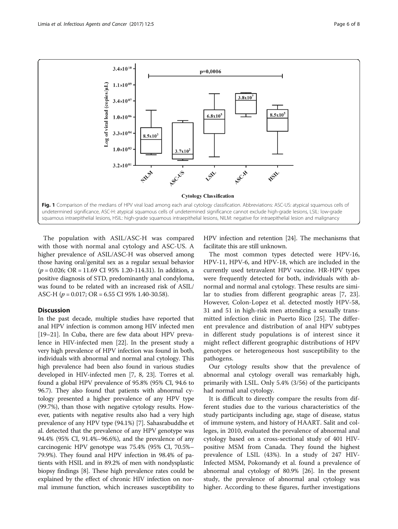

<span id="page-5-0"></span>

The population with ASIL/ASC-H was compared with those with normal anal cytology and ASC-US. A higher prevalence of ASIL/ASC-H was observed among those having oral/genital sex as a regular sexual behavior  $(p = 0.026; \text{ OR } = 11.69 \text{ CI } 95\% \text{ 1.20-114.31).}$  In addition, a positive diagnosis of STD, predominantly anal condyloma, was found to be related with an increased risk of ASIL/ ASC-H ( $p = 0.017$ ; OR = 6.55 CI 95% 1.40-30.58).

# **Discussion**

In the past decade, multiple studies have reported that anal HPV infection is common among HIV infected men [[19](#page-7-0)–[21\]](#page-7-0). In Cuba, there are few data about HPV prevalence in HIV-infected men [[22](#page-7-0)]. In the present study a very high prevalence of HPV infection was found in both, individuals with abnormal and normal anal cytology. This high prevalence had been also found in various studies developed in HIV-infected men [\[7](#page-7-0), [8](#page-7-0), [23\]](#page-7-0). Torres et al. found a global HPV prevalence of 95.8% (95% CI, 94.6 to 96.7). They also found that patients with abnormal cytology presented a higher prevalence of any HPV type (99.7%), than those with negative cytology results. However, patients with negative results also had a very high prevalence of any HPV type (94.1%) [\[7\]](#page-7-0). Sahasrabuddhe et al. detected that the prevalence of any HPV genotype was 94.4% (95% CI, 91.4%–96.6%), and the prevalence of any carcinogenic HPV genotype was 75.4% (95% CI, 70.5%– 79.9%). They found anal HPV infection in 98.4% of patients with HSIL and in 89.2% of men with nondysplastic biopsy findings [\[8](#page-7-0)]. These high prevalence rates could be explained by the effect of chronic HIV infection on normal immune function, which increases susceptibility to HPV infection and retention [\[24\]](#page-7-0). The mechanisms that facilitate this are still unknown.

The most common types detected were HPV-16, HPV-11, HPV-6, and HPV-18, which are included in the currently used tetravalent HPV vaccine. HR-HPV types were frequently detected for both, individuals with abnormal and normal anal cytology. These results are similar to studies from different geographic areas [\[7](#page-7-0), [23](#page-7-0)]. However, Colon-Lopez et al. detected mostly HPV-58, 31 and 51 in high-risk men attending a sexually transmitted infection clinic in Puerto Rico [[25](#page-7-0)]. The different prevalence and distribution of anal HPV subtypes in different study populations is of interest since it might reflect different geographic distributions of HPV genotypes or heterogeneous host susceptibility to the pathogens.

Our cytology results show that the prevalence of abnormal anal cytology overall was remarkably high, primarily with LSIL. Only 5.4% (3/56) of the participants had normal anal cytology.

It is difficult to directly compare the results from different studies due to the various characteristics of the study participants including age, stage of disease, status of immune system, and history of HAART. Salit and colleges, in 2010, evaluated the prevalence of abnormal anal cytology based on a cross-sectional study of 401 HIVpositive MSM from Canada. They found the highest prevalence of LSIL (43%). In a study of 247 HIV-Infected MSM, Pokomandy et al. found a prevalence of abnormal anal cytology of 80.9% [[26\]](#page-7-0). In the present study, the prevalence of abnormal anal cytology was higher. According to these figures, further investigations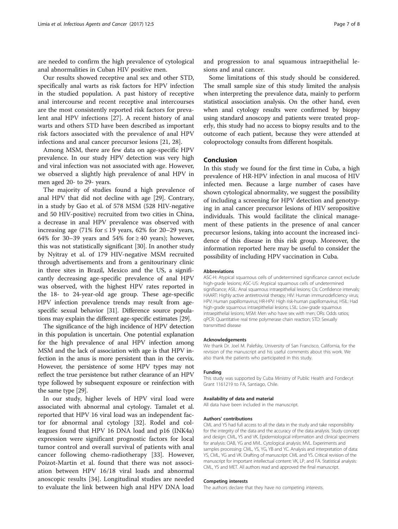are needed to confirm the high prevalence of cytological anal abnormalities in Cuban HIV positive men.

Our results showed receptive anal sex and other STD, specifically anal warts as risk factors for HPV infection in the studied population. A past history of receptive anal intercourse and recent receptive anal intercourses are the most consistently reported risk factors for prevalent anal HPV infections [[27\]](#page-7-0). A recent history of anal warts and others STD have been described as important risk factors associated with the prevalence of anal HPV infections and anal cancer precursor lesions [[21, 28](#page-7-0)].

Among MSM, there are few data on age-specific HPV prevalence. In our study HPV detection was very high and viral infection was not associated with age. However, we observed a slightly high prevalence of anal HPV in men aged 20- to 29- years.

The majority of studies found a high prevalence of anal HPV that did not decline with age [[29](#page-7-0)]. Contrary, in a study by Gao et al. of 578 MSM (528 HIV-negative and 50 HIV-positive) recruited from two cities in China, a decrease in anal HPV prevalence was observed with increasing age (71% for  $\leq$  19 years, 62% for 20–29 years, 64% for 30–39 years and 54% for  $\geq$  40 years); however, this was not statistically significant [[30\]](#page-7-0). In another study by Nyitray et al. of 179 HIV-negative MSM recruited through advertisements and from a genitourinary clinic in three sites in Brazil, Mexico and the US, a significantly decreasing age-specific prevalence of anal HPV was observed, with the highest HPV rates reported in the 18- to 24-year-old age group. These age-specific HPV infection prevalence trends may result from agespecific sexual behavior [\[31\]](#page-7-0). Difference source populations may explain the different age-specific estimates [[29](#page-7-0)].

The significance of the high incidence of HPV detection in this population is uncertain. One potential explanation for the high prevalence of anal HPV infection among MSM and the lack of association with age is that HPV infection in the anus is more persistent than in the cervix. However, the persistence of some HPV types may not reflect the true persistence but rather clearance of an HPV type followed by subsequent exposure or reinfection with the same type [[29](#page-7-0)].

In our study, higher levels of HPV viral load were associated with abnormal anal cytology. Tamalet et al. reported that HPV 16 viral load was an independent factor for abnormal anal cytology [\[32](#page-7-0)]. Rodel and colleagues found that HPV 16 DNA load and p16 (INK4a) expression were significant prognostic factors for local tumor control and overall survival of patients with anal cancer following chemo-radiotherapy [[33\]](#page-7-0). However, Poizot-Martin et al. found that there was not association between HPV 16/18 viral loads and abnormal anoscopic results [[34](#page-7-0)]. Longitudinal studies are needed to evaluate the link between high anal HPV DNA load

Some limitations of this study should be considered. The small sample size of this study limited the analysis when interpreting the prevalence data, mainly to perform statistical association analysis. On the other hand, even when anal cytology results were confirmed by biopsy using standard anoscopy and patients were treated properly, this study had no access to biopsy results and to the outcome of each patient, because they were attended at coloproctology consults from different hospitals.

# Conclusion

In this study we found for the first time in Cuba, a high prevalence of HR-HPV infection in anal mucosa of HIV infected men. Because a large number of cases have shown cytological abnormality, we suggest the possibility of including a screening for HPV detection and genotyping in anal cancer precursor lesions of HIV seropositive individuals. This would facilitate the clinical management of these patients in the presence of anal cancer precursor lesions, taking into account the increased incidence of this disease in this risk group. Moreover, the information reported here may be useful to consider the possibility of including HPV vaccination in Cuba.

#### Abbreviations

ASC-H: Atypical squamous cells of undetermined significance cannot exclude high-grade lesions; ASC-US: Atypical squamous cells of undetermined significance; ASIL: Anal squamous intraepithelial lesions; CIs: Confidence intervals; HAART: Highly active antiretroviral therapy; HIV: Human immunodeficiency virus; HPV: Human papillomavirus; HR-HPV: High risk-human papillomavirus; HSIL: Had high-grade squamous intraepithelial lesions; LSIL: Low-grade squamous intraepithelial lesions; MSM: Men who have sex with men; ORs: Odds ratios; qPCR: Quantitative real time polymerase chain reaction; STD: Sexually transmitted disease

#### Acknowledgements

We thank Dr. Joel M. Palefsky, University of San Francisco, California, for the revision of the manuscript and his useful comments about this work. We also thank the patients who participated in this study.

#### Funding

This study was supported by Cuba Ministry of Public Health and Fondecyt Grant 1161219 to FA, Santiago, Chile.

#### Availability of data and material

All data have been included in the manuscript.

#### Authors' contributions

CML and YS had full access to all the data in the study and take responsibility for the integrity of the data and the accuracy of the data analysis. Study concept and design: CML, YS and VK. Epidemiological information and clinical specimens for analysis: OAB, YG and MVL. Cytological analysis: MVL. Experiments and samples processing: CML, YS, YG, YB and YC. Analysis and interpretation of data: YS, CML, YG and VK. Drafting of manuscript: CML and YS. Critical revision of the manuscript for important intellectual content: VK, LP, and FA. Statistical analysis: CML, YS and MET. All authors read and approved the final manuscript.

#### Competing interests

The authors declare that they have no competing interests.